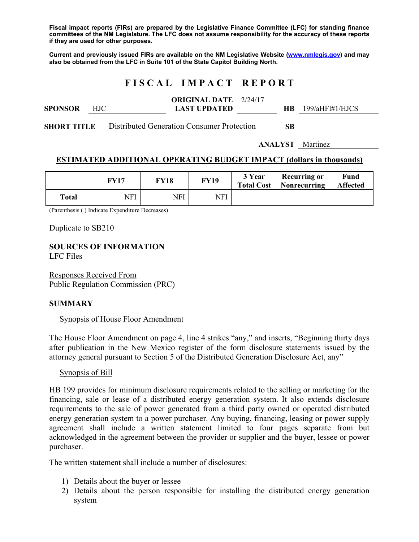**Fiscal impact reports (FIRs) are prepared by the Legislative Finance Committee (LFC) for standing finance committees of the NM Legislature. The LFC does not assume responsibility for the accuracy of these reports if they are used for other purposes.** 

**Current and previously issued FIRs are available on the NM Legislative Website (www.nmlegis.gov) and may also be obtained from the LFC in Suite 101 of the State Capitol Building North.** 

# **F I S C A L I M P A C T R E P O R T**

| <b>SPONSOR</b>     | HJC. |  | <b>ORIGINAL DATE</b> 2/24/17<br><b>LAST UPDATED</b> |  | HB. | 199/aHHH4/HJCS |
|--------------------|------|--|-----------------------------------------------------|--|-----|----------------|
| <b>SHORT TITLE</b> |      |  | Distributed Generation Consumer Protection          |  | SB  |                |

**ANALYST** Martinez

#### **ESTIMATED ADDITIONAL OPERATING BUDGET IMPACT (dollars in thousands)**

|       | FY17 | <b>FY18</b> | <b>FY19</b> | 3 Year<br><b>Total Cost</b> | <b>Recurring or</b><br>Nonrecurring | Fund<br><b>Affected</b> |
|-------|------|-------------|-------------|-----------------------------|-------------------------------------|-------------------------|
| Total | NFI  | NFI         | NFI         |                             |                                     |                         |

(Parenthesis ( ) Indicate Expenditure Decreases)

Duplicate to SB210

**SOURCES OF INFORMATION**  LFC Files

Responses Received From Public Regulation Commission (PRC)

#### **SUMMARY**

#### Synopsis of House Floor Amendment

The House Floor Amendment on page 4, line 4 strikes "any," and inserts, "Beginning thirty days after publication in the New Mexico register of the form disclosure statements issued by the attorney general pursuant to Section 5 of the Distributed Generation Disclosure Act, any"

#### Synopsis of Bill

HB 199 provides for minimum disclosure requirements related to the selling or marketing for the financing, sale or lease of a distributed energy generation system. It also extends disclosure requirements to the sale of power generated from a third party owned or operated distributed energy generation system to a power purchaser. Any buying, financing, leasing or power supply agreement shall include a written statement limited to four pages separate from but acknowledged in the agreement between the provider or supplier and the buyer, lessee or power purchaser.

The written statement shall include a number of disclosures:

- 1) Details about the buyer or lessee
- 2) Details about the person responsible for installing the distributed energy generation system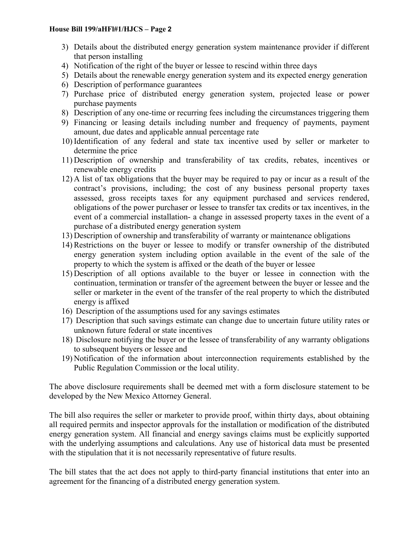#### **House Bill 199/aHFl#1/HJCS – Page 2**

- 3) Details about the distributed energy generation system maintenance provider if different that person installing
- 4) Notification of the right of the buyer or lessee to rescind within three days
- 5) Details about the renewable energy generation system and its expected energy generation
- 6) Description of performance guarantees
- 7) Purchase price of distributed energy generation system, projected lease or power purchase payments
- 8) Description of any one-time or recurring fees including the circumstances triggering them
- 9) Financing or leasing details including number and frequency of payments, payment amount, due dates and applicable annual percentage rate
- 10) Identification of any federal and state tax incentive used by seller or marketer to determine the price
- 11) Description of ownership and transferability of tax credits, rebates, incentives or renewable energy credits
- 12) A list of tax obligations that the buyer may be required to pay or incur as a result of the contract's provisions, including; the cost of any business personal property taxes assessed, gross receipts taxes for any equipment purchased and services rendered, obligations of the power purchaser or lessee to transfer tax credits or tax incentives, in the event of a commercial installation- a change in assessed property taxes in the event of a purchase of a distributed energy generation system
- 13) Description of ownership and transferability of warranty or maintenance obligations
- 14) Restrictions on the buyer or lessee to modify or transfer ownership of the distributed energy generation system including option available in the event of the sale of the property to which the system is affixed or the death of the buyer or lessee
- 15) Description of all options available to the buyer or lessee in connection with the continuation, termination or transfer of the agreement between the buyer or lessee and the seller or marketer in the event of the transfer of the real property to which the distributed energy is affixed
- 16) Description of the assumptions used for any savings estimates
- 17) Description that such savings estimate can change due to uncertain future utility rates or unknown future federal or state incentives
- 18) Disclosure notifying the buyer or the lessee of transferability of any warranty obligations to subsequent buyers or lessee and
- 19) Notification of the information about interconnection requirements established by the Public Regulation Commission or the local utility.

The above disclosure requirements shall be deemed met with a form disclosure statement to be developed by the New Mexico Attorney General.

The bill also requires the seller or marketer to provide proof, within thirty days, about obtaining all required permits and inspector approvals for the installation or modification of the distributed energy generation system. All financial and energy savings claims must be explicitly supported with the underlying assumptions and calculations. Any use of historical data must be presented with the stipulation that it is not necessarily representative of future results.

The bill states that the act does not apply to third-party financial institutions that enter into an agreement for the financing of a distributed energy generation system.